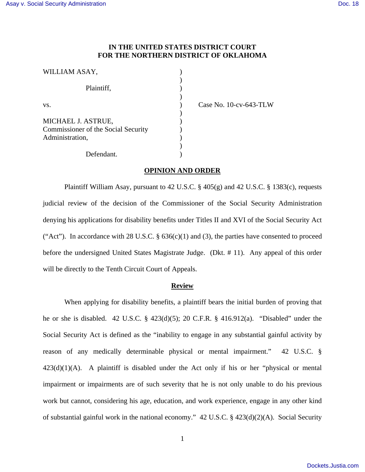# **IN THE UNITED STATES DISTRICT COURT FOR THE NORTHERN DISTRICT OF OKLAHOMA**

| WILLIAM ASAY,                                                                |  |
|------------------------------------------------------------------------------|--|
| Plaintiff,                                                                   |  |
| VS.                                                                          |  |
| MICHAEL J. ASTRUE,<br>Commissioner of the Social Security<br>Administration, |  |
| Defendant.                                                                   |  |

Case No. 10-cv-643-TLW

## **OPINION AND ORDER**

Plaintiff William Asay, pursuant to 42 U.S.C.  $\S$  405(g) and 42 U.S.C.  $\S$  1383(c), requests judicial review of the decision of the Commissioner of the Social Security Administration denying his applications for disability benefits under Titles II and XVI of the Social Security Act ("Act"). In accordance with 28 U.S.C.  $\S$  636(c)(1) and (3), the parties have consented to proceed before the undersigned United States Magistrate Judge. (Dkt. # 11). Any appeal of this order will be directly to the Tenth Circuit Court of Appeals.

### **Review**

 When applying for disability benefits, a plaintiff bears the initial burden of proving that he or she is disabled. 42 U.S.C. § 423(d)(5); 20 C.F.R. § 416.912(a). "Disabled" under the Social Security Act is defined as the "inability to engage in any substantial gainful activity by reason of any medically determinable physical or mental impairment." 42 U.S.C. §  $423(d)(1)(A)$ . A plaintiff is disabled under the Act only if his or her "physical or mental impairment or impairments are of such severity that he is not only unable to do his previous work but cannot, considering his age, education, and work experience, engage in any other kind of substantial gainful work in the national economy." 42 U.S.C. § 423(d)(2)(A). Social Security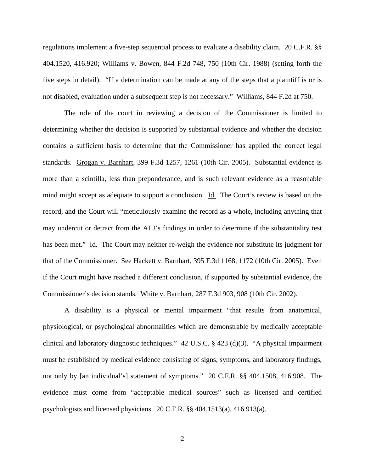regulations implement a five-step sequential process to evaluate a disability claim. 20 C.F.R. §§ 404.1520, 416.920; Williams v. Bowen, 844 F.2d 748, 750 (10th Cir. 1988) (setting forth the five steps in detail). "If a determination can be made at any of the steps that a plaintiff is or is not disabled, evaluation under a subsequent step is not necessary." Williams, 844 F.2d at 750.

 The role of the court in reviewing a decision of the Commissioner is limited to determining whether the decision is supported by substantial evidence and whether the decision contains a sufficient basis to determine that the Commissioner has applied the correct legal standards. Grogan v. Barnhart, 399 F.3d 1257, 1261 (10th Cir. 2005). Substantial evidence is more than a scintilla, less than preponderance, and is such relevant evidence as a reasonable mind might accept as adequate to support a conclusion. Id. The Court's review is based on the record, and the Court will "meticulously examine the record as a whole, including anything that may undercut or detract from the ALJ's findings in order to determine if the substantiality test has been met." Id. The Court may neither re-weigh the evidence nor substitute its judgment for that of the Commissioner. See Hackett v. Barnhart, 395 F.3d 1168, 1172 (10th Cir. 2005). Even if the Court might have reached a different conclusion, if supported by substantial evidence, the Commissioner's decision stands. White v. Barnhart, 287 F.3d 903, 908 (10th Cir. 2002).

A disability is a physical or mental impairment "that results from anatomical, physiological, or psychological abnormalities which are demonstrable by medically acceptable clinical and laboratory diagnostic techniques." 42 U.S.C. § 423 (d)(3). "A physical impairment must be established by medical evidence consisting of signs, symptoms, and laboratory findings, not only by [an individual's] statement of symptoms." 20 C.F.R. §§ 404.1508, 416.908. The evidence must come from "acceptable medical sources" such as licensed and certified psychologists and licensed physicians. 20 C.F.R. §§ 404.1513(a), 416.913(a).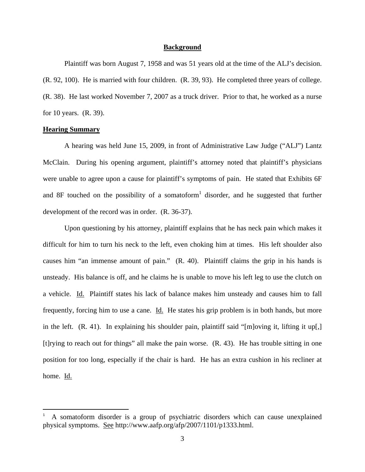## **Background**

 Plaintiff was born August 7, 1958 and was 51 years old at the time of the ALJ's decision. (R. 92, 100). He is married with four children. (R. 39, 93). He completed three years of college. (R. 38). He last worked November 7, 2007 as a truck driver. Prior to that, he worked as a nurse for 10 years. (R. 39).

# **Hearing Summary**

A hearing was held June 15, 2009, in front of Administrative Law Judge ("ALJ") Lantz McClain. During his opening argument, plaintiff's attorney noted that plaintiff's physicians were unable to agree upon a cause for plaintiff's symptoms of pain. He stated that Exhibits 6F and 8F touched on the possibility of a somatoform<sup>1</sup> disorder, and he suggested that further development of the record was in order. (R. 36-37).

Upon questioning by his attorney, plaintiff explains that he has neck pain which makes it difficult for him to turn his neck to the left, even choking him at times. His left shoulder also causes him "an immense amount of pain." (R. 40). Plaintiff claims the grip in his hands is unsteady. His balance is off, and he claims he is unable to move his left leg to use the clutch on a vehicle. Id. Plaintiff states his lack of balance makes him unsteady and causes him to fall frequently, forcing him to use a cane. Id. He states his grip problem is in both hands, but more in the left. (R. 41). In explaining his shoulder pain, plaintiff said "[m]oving it, lifting it up[,] [t]rying to reach out for things" all make the pain worse. (R. 43). He has trouble sitting in one position for too long, especially if the chair is hard. He has an extra cushion in his recliner at home. Id.

<sup>1</sup> A somatoform disorder is a group of psychiatric disorders which can cause unexplained physical symptoms. See http://www.aafp.org/afp/2007/1101/p1333.html.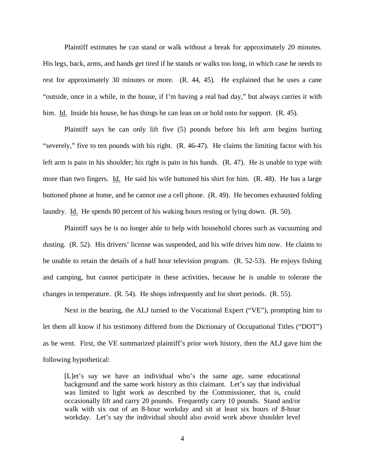Plaintiff estimates he can stand or walk without a break for approximately 20 minutes. His legs, back, arms, and hands get tired if he stands or walks too long, in which case he needs to rest for approximately 30 minutes or more. (R. 44, 45). He explained that he uses a cane "outside, once in a while, in the house, if I'm having a real bad day," but always carries it with him. Id. Inside his house, he has things he can lean on or hold onto for support. (R. 45).

Plaintiff says he can only lift five (5) pounds before his left arm begins hurting "severely," five to ten pounds with his right. (R. 46-47). He claims the limiting factor with his left arm is pain in his shoulder; his right is pain in his hands. (R. 47). He is unable to type with more than two fingers. Id. He said his wife buttoned his shirt for him. (R. 48). He has a large buttoned phone at home, and he cannot use a cell phone. (R. 49). He becomes exhausted folding laundry. Id. He spends 80 percent of his waking hours resting or lying down. (R. 50).

Plaintiff says he is no longer able to help with household chores such as vacuuming and dusting. (R. 52). His drivers' license was suspended, and his wife drives him now. He claims to be unable to retain the details of a half hour television program. (R. 52-53). He enjoys fishing and camping, but cannot participate in these activities, because he is unable to tolerate the changes in temperature. (R. 54). He shops infrequently and for short periods. (R. 55).

Next in the hearing, the ALJ turned to the Vocational Expert ("VE"), prompting him to let them all know if his testimony differed from the Dictionary of Occupational Titles ("DOT") as he went. First, the VE summarized plaintiff's prior work history, then the ALJ gave him the following hypothetical:

[L]et's say we have an individual who's the same age, same educational background and the same work history as this claimant. Let's say that individual was limited to light work as described by the Commissioner, that is, could occasionally lift and carry 20 pounds. Frequently carry 10 pounds. Stand and/or walk with six out of an 8-hour workday and sit at least six hours of 8-hour workday. Let's say the individual should also avoid work above shoulder level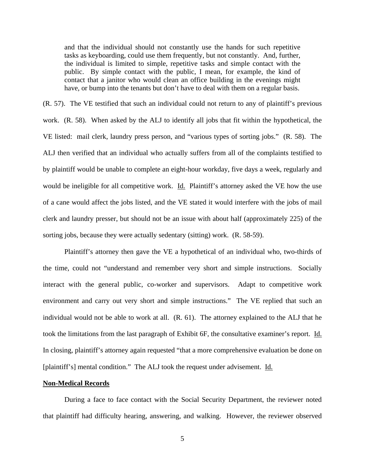and that the individual should not constantly use the hands for such repetitive tasks as keyboarding, could use them frequently, but not constantly. And, further, the individual is limited to simple, repetitive tasks and simple contact with the public. By simple contact with the public, I mean, for example, the kind of contact that a janitor who would clean an office building in the evenings might have, or bump into the tenants but don't have to deal with them on a regular basis.

(R. 57). The VE testified that such an individual could not return to any of plaintiff's previous work. (R. 58). When asked by the ALJ to identify all jobs that fit within the hypothetical, the VE listed: mail clerk, laundry press person, and "various types of sorting jobs." (R. 58). The ALJ then verified that an individual who actually suffers from all of the complaints testified to by plaintiff would be unable to complete an eight-hour workday, five days a week, regularly and would be ineligible for all competitive work. Id. Plaintiff's attorney asked the VE how the use of a cane would affect the jobs listed, and the VE stated it would interfere with the jobs of mail clerk and laundry presser, but should not be an issue with about half (approximately 225) of the sorting jobs, because they were actually sedentary (sitting) work. (R. 58-59).

Plaintiff's attorney then gave the VE a hypothetical of an individual who, two-thirds of the time, could not "understand and remember very short and simple instructions. Socially interact with the general public, co-worker and supervisors. Adapt to competitive work environment and carry out very short and simple instructions." The VE replied that such an individual would not be able to work at all. (R. 61). The attorney explained to the ALJ that he took the limitations from the last paragraph of Exhibit 6F, the consultative examiner's report. Id. In closing, plaintiff's attorney again requested "that a more comprehensive evaluation be done on [plaintiff's] mental condition." The ALJ took the request under advisement. Id.

## **Non-Medical Records**

During a face to face contact with the Social Security Department, the reviewer noted that plaintiff had difficulty hearing, answering, and walking. However, the reviewer observed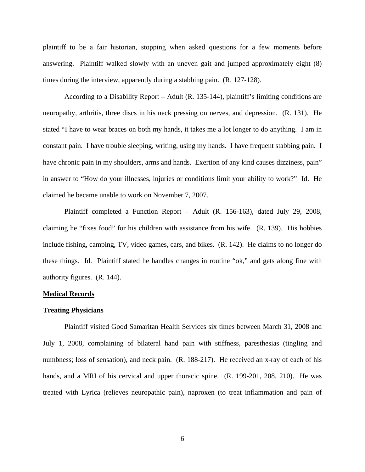plaintiff to be a fair historian, stopping when asked questions for a few moments before answering. Plaintiff walked slowly with an uneven gait and jumped approximately eight (8) times during the interview, apparently during a stabbing pain. (R. 127-128).

 According to a Disability Report – Adult (R. 135-144), plaintiff's limiting conditions are neuropathy, arthritis, three discs in his neck pressing on nerves, and depression. (R. 131). He stated "I have to wear braces on both my hands, it takes me a lot longer to do anything. I am in constant pain. I have trouble sleeping, writing, using my hands. I have frequent stabbing pain. I have chronic pain in my shoulders, arms and hands. Exertion of any kind causes dizziness, pain" in answer to "How do your illnesses, injuries or conditions limit your ability to work?" Id. He claimed he became unable to work on November 7, 2007.

 Plaintiff completed a Function Report – Adult (R. 156-163), dated July 29, 2008, claiming he "fixes food" for his children with assistance from his wife. (R. 139). His hobbies include fishing, camping, TV, video games, cars, and bikes. (R. 142). He claims to no longer do these things. Id. Plaintiff stated he handles changes in routine "ok," and gets along fine with authority figures. (R. 144).

### **Medical Records**

#### **Treating Physicians**

Plaintiff visited Good Samaritan Health Services six times between March 31, 2008 and July 1, 2008, complaining of bilateral hand pain with stiffness, paresthesias (tingling and numbness; loss of sensation), and neck pain. (R. 188-217). He received an x-ray of each of his hands, and a MRI of his cervical and upper thoracic spine. (R. 199-201, 208, 210). He was treated with Lyrica (relieves neuropathic pain), naproxen (to treat inflammation and pain of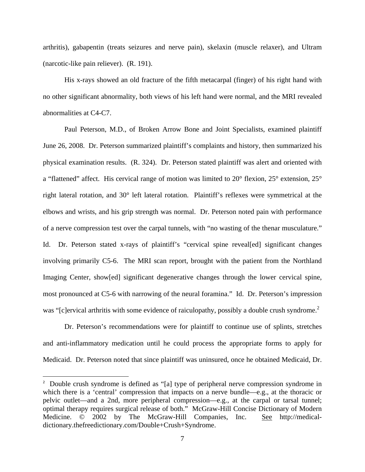arthritis), gabapentin (treats seizures and nerve pain), skelaxin (muscle relaxer), and Ultram (narcotic-like pain reliever). (R. 191).

His x-rays showed an old fracture of the fifth metacarpal (finger) of his right hand with no other significant abnormality, both views of his left hand were normal, and the MRI revealed abnormalities at C4-C7.

Paul Peterson, M.D., of Broken Arrow Bone and Joint Specialists, examined plaintiff June 26, 2008. Dr. Peterson summarized plaintiff's complaints and history, then summarized his physical examination results. (R. 324). Dr. Peterson stated plaintiff was alert and oriented with a "flattened" affect. His cervical range of motion was limited to 20° flexion, 25° extension, 25° right lateral rotation, and 30° left lateral rotation. Plaintiff's reflexes were symmetrical at the elbows and wrists, and his grip strength was normal. Dr. Peterson noted pain with performance of a nerve compression test over the carpal tunnels, with "no wasting of the thenar musculature." Id. Dr. Peterson stated x-rays of plaintiff's "cervical spine reveal[ed] significant changes involving primarily C5-6. The MRI scan report, brought with the patient from the Northland Imaging Center, show[ed] significant degenerative changes through the lower cervical spine, most pronounced at C5-6 with narrowing of the neural foramina." Id. Dr. Peterson's impression was "[c]ervical arthritis with some evidence of raiculopathy, possibly a double crush syndrome.<sup>2</sup>

Dr. Peterson's recommendations were for plaintiff to continue use of splints, stretches and anti-inflammatory medication until he could process the appropriate forms to apply for Medicaid. Dr. Peterson noted that since plaintiff was uninsured, once he obtained Medicaid, Dr.

<sup>&</sup>lt;sup>2</sup> Double crush syndrome is defined as "[a] type of peripheral nerve compression syndrome in which there is a 'central' compression that impacts on a nerve bundle—e.g., at the thoracic or pelvic outlet—and a 2nd, more peripheral compression—e.g., at the carpal or tarsal tunnel; optimal therapy requires surgical release of both." McGraw-Hill Concise Dictionary of Modern Medicine. © 2002 by The McGraw-Hill Companies, Inc. See http://medicaldictionary.thefreedictionary.com/Double+Crush+Syndrome.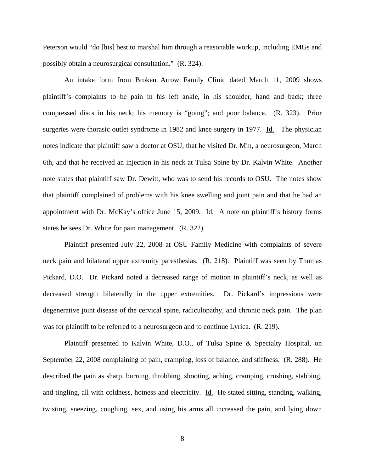Peterson would "do [his] best to marshal him through a reasonable workup, including EMGs and possibly obtain a neurosurgical consultation." (R. 324).

An intake form from Broken Arrow Family Clinic dated March 11, 2009 shows plaintiff's complaints to be pain in his left ankle, in his shoulder, hand and back; three compressed discs in his neck; his memory is "going"; and poor balance. (R. 323). Prior surgeries were thorasic outlet syndrome in 1982 and knee surgery in 1977. Id. The physician notes indicate that plaintiff saw a doctor at OSU, that he visited Dr. Min, a neurosurgeon, March 6th, and that he received an injection in his neck at Tulsa Spine by Dr. Kalvin White. Another note states that plaintiff saw Dr. Dewitt, who was to send his records to OSU. The notes show that plaintiff complained of problems with his knee swelling and joint pain and that he had an appointment with Dr. McKay's office June 15, 2009. Id. A note on plaintiff's history forms states he sees Dr. White for pain management. (R. 322).

Plaintiff presented July 22, 2008 at OSU Family Medicine with complaints of severe neck pain and bilateral upper extremity paresthesias. (R. 218). Plaintiff was seen by Thomas Pickard, D.O. Dr. Pickard noted a decreased range of motion in plaintiff's neck, as well as decreased strength bilaterally in the upper extremities. Dr. Pickard's impressions were degenerative joint disease of the cervical spine, radiculopathy, and chronic neck pain. The plan was for plaintiff to be referred to a neurosurgeon and to continue Lyrica. (R. 219).

Plaintiff presented to Kalvin White, D.O., of Tulsa Spine & Specialty Hospital, on September 22, 2008 complaining of pain, cramping, loss of balance, and stiffness. (R. 288). He described the pain as sharp, burning, throbbing, shooting, aching, cramping, crushing, stabbing, and tingling, all with coldness, hotness and electricity. Id. He stated sitting, standing, walking, twisting, sneezing, coughing, sex, and using his arms all increased the pain, and lying down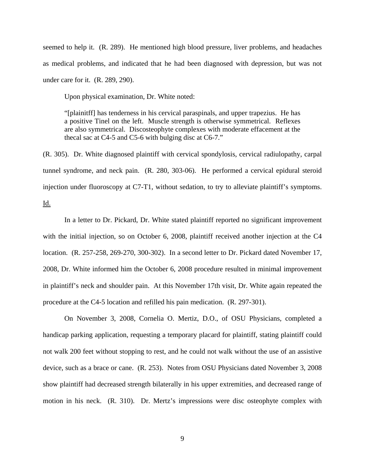seemed to help it. (R. 289). He mentioned high blood pressure, liver problems, and headaches as medical problems, and indicated that he had been diagnosed with depression, but was not under care for it. (R. 289, 290).

Upon physical examination, Dr. White noted:

"[plainitff] has tenderness in his cervical paraspinals, and upper trapezius. He has a positive Tinel on the left. Muscle strength is otherwise symmetrical. Reflexes are also symmetrical. Discosteophyte complexes with moderate effacement at the thecal sac at C4-5 and C5-6 with bulging disc at C6-7."

(R. 305). Dr. White diagnosed plaintiff with cervical spondylosis, cervical radiulopathy, carpal tunnel syndrome, and neck pain. (R. 280, 303-06). He performed a cervical epidural steroid injection under fluoroscopy at C7-T1, without sedation, to try to alleviate plaintiff's symptoms. Id.

In a letter to Dr. Pickard, Dr. White stated plaintiff reported no significant improvement with the initial injection, so on October 6, 2008, plaintiff received another injection at the C4 location. (R. 257-258, 269-270, 300-302). In a second letter to Dr. Pickard dated November 17, 2008, Dr. White informed him the October 6, 2008 procedure resulted in minimal improvement in plaintiff's neck and shoulder pain. At this November 17th visit, Dr. White again repeated the procedure at the C4-5 location and refilled his pain medication. (R. 297-301).

On November 3, 2008, Cornelia O. Mertiz, D.O., of OSU Physicians, completed a handicap parking application, requesting a temporary placard for plaintiff, stating plaintiff could not walk 200 feet without stopping to rest, and he could not walk without the use of an assistive device, such as a brace or cane. (R. 253). Notes from OSU Physicians dated November 3, 2008 show plaintiff had decreased strength bilaterally in his upper extremities, and decreased range of motion in his neck. (R. 310). Dr. Mertz's impressions were disc osteophyte complex with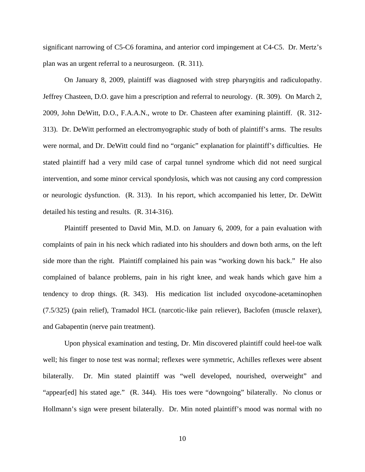significant narrowing of C5-C6 foramina, and anterior cord impingement at C4-C5. Dr. Mertz's plan was an urgent referral to a neurosurgeon. (R. 311).

On January 8, 2009, plaintiff was diagnosed with strep pharyngitis and radiculopathy. Jeffrey Chasteen, D.O. gave him a prescription and referral to neurology. (R. 309). On March 2, 2009, John DeWitt, D.O., F.A.A.N., wrote to Dr. Chasteen after examining plaintiff. (R. 312- 313). Dr. DeWitt performed an electromyographic study of both of plaintiff's arms. The results were normal, and Dr. DeWitt could find no "organic" explanation for plaintiff's difficulties. He stated plaintiff had a very mild case of carpal tunnel syndrome which did not need surgical intervention, and some minor cervical spondylosis, which was not causing any cord compression or neurologic dysfunction. (R. 313). In his report, which accompanied his letter, Dr. DeWitt detailed his testing and results. (R. 314-316).

Plaintiff presented to David Min, M.D. on January 6, 2009, for a pain evaluation with complaints of pain in his neck which radiated into his shoulders and down both arms, on the left side more than the right. Plaintiff complained his pain was "working down his back." He also complained of balance problems, pain in his right knee, and weak hands which gave him a tendency to drop things. (R. 343). His medication list included oxycodone-acetaminophen (7.5/325) (pain relief), Tramadol HCL (narcotic-like pain reliever), Baclofen (muscle relaxer), and Gabapentin (nerve pain treatment).

Upon physical examination and testing, Dr. Min discovered plaintiff could heel-toe walk well; his finger to nose test was normal; reflexes were symmetric, Achilles reflexes were absent bilaterally. Dr. Min stated plaintiff was "well developed, nourished, overweight" and "appear[ed] his stated age." (R. 344). His toes were "downgoing" bilaterally. No clonus or Hollmann's sign were present bilaterally. Dr. Min noted plaintiff's mood was normal with no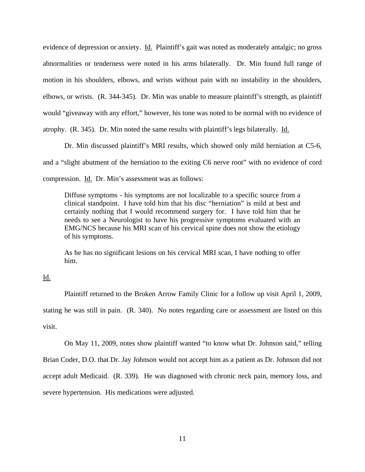evidence of depression or anxiety. Id. Plaintiff's gait was noted as moderately antalgic; no gross abnormalities or tenderness were noted in his arms bilaterally. Dr. Min found full range of motion in his shoulders, elbows, and wrists without pain with no instability in the shoulders, elbows, or wrists. (R. 344-345). Dr. Min was unable to measure plaintiff's strength, as plaintiff would "giveaway with any effort," however, his tone was noted to be normal with no evidence of atrophy. (R. 345). Dr. Min noted the same results with plaintiff's legs bilaterally. Id.

Dr. Min discussed plaintiff's MRI results, which showed only mild herniation at C5-6, and a "slight abutment of the herniation to the exiting C6 nerve root" with no evidence of cord compression. Id. Dr. Min's assessment was as follows:

Diffuse symptoms - his symptoms are not localizable to a specific source from a clinical standpoint. I have told him that his disc "herniation" is mild at best and certainly nothing that I would recommend surgery for. I have told him that he needs to see a Neurologist to have his progressive symptoms evaluated with an EMG/NCS because his MRI scan of his cervical spine does not show the etiology of his symptoms.

As he has no significant lesions on his cervical MRI scan, I have nothing to offer him.

# Id.

Plaintiff returned to the Broken Arrow Family Clinic for a follow up visit April 1, 2009, stating he was still in pain. (R. 340). No notes regarding care or assessment are listed on this visit.

On May 11, 2009, notes show plaintiff wanted "to know what Dr. Johnson said," telling Brian Coder, D.O. that Dr. Jay Johnson would not accept him as a patient as Dr. Johnson did not accept adult Medicaid. (R. 339). He was diagnosed with chronic neck pain, memory loss, and severe hypertension. His medications were adjusted.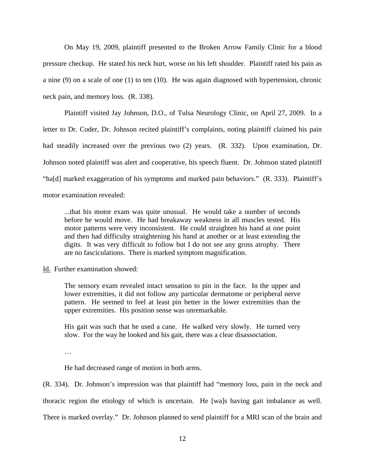On May 19, 2009, plaintiff presented to the Broken Arrow Family Clinic for a blood pressure checkup. He stated his neck hurt, worse on his left shoulder. Plaintiff rated his pain as a nine (9) on a scale of one (1) to ten (10). He was again diagnosed with hypertension, chronic neck pain, and memory loss. (R. 338).

Plaintiff visited Jay Johnson, D.O., of Tulsa Neurology Clinic, on April 27, 2009. In a letter to Dr. Coder, Dr. Johnson recited plaintiff's complaints, noting plaintiff claimed his pain had steadily increased over the previous two (2) years. (R. 332). Upon examination, Dr. Johnson noted plaintiff was alert and cooperative, his speech fluent. Dr. Johnson stated plaintiff "ha[d] marked exaggeration of his symptoms and marked pain behaviors." (R. 333). Plaintiff's motor examination revealed:

...that his motor exam was quite unusual. He would take a number of seconds before he would move. He had breakaway weakness in all muscles tested. His motor patterns were very inconsistent. He could straighten his hand at one point and then had difficulty straightening his hand at another or at least extending the digits. It was very difficult to follow but I do not see any gross atrophy. There are no fasciculations. There is marked symptom magnification.

Id. Further examination showed:

The sensory exam revealed intact sensation to pin in the face. In the upper and lower extremities, it did not follow any particular dermatome or peripheral nerve pattern. He seemed to feel at least pin better in the lower extremities than the upper extremities. His position sense was unremarkable.

His gait was such that he used a cane. He walked very slowly. He turned very slow. For the way he looked and his gait, there was a clear disassociation.

…

He had decreased range of motion in both arms.

(R. 334). Dr. Johnson's impression was that plaintiff had "memory loss, pain in the neck and thoracic region the etiology of which is uncertain. He [wa]s having gait imbalance as well. There is marked overlay." Dr. Johnson planned to send plaintiff for a MRI scan of the brain and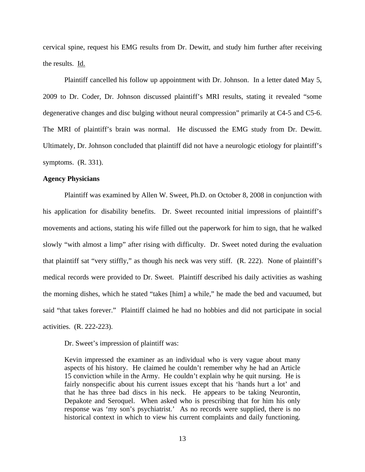cervical spine, request his EMG results from Dr. Dewitt, and study him further after receiving the results. Id.

Plaintiff cancelled his follow up appointment with Dr. Johnson. In a letter dated May 5, 2009 to Dr. Coder, Dr. Johnson discussed plaintiff's MRI results, stating it revealed "some degenerative changes and disc bulging without neural compression" primarily at C4-5 and C5-6. The MRI of plaintiff's brain was normal. He discussed the EMG study from Dr. Dewitt. Ultimately, Dr. Johnson concluded that plaintiff did not have a neurologic etiology for plaintiff's symptoms. (R. 331).

## **Agency Physicians**

Plaintiff was examined by Allen W. Sweet, Ph.D. on October 8, 2008 in conjunction with his application for disability benefits. Dr. Sweet recounted initial impressions of plaintiff's movements and actions, stating his wife filled out the paperwork for him to sign, that he walked slowly "with almost a limp" after rising with difficulty. Dr. Sweet noted during the evaluation that plaintiff sat "very stiffly," as though his neck was very stiff. (R. 222). None of plaintiff's medical records were provided to Dr. Sweet. Plaintiff described his daily activities as washing the morning dishes, which he stated "takes [him] a while," he made the bed and vacuumed, but said "that takes forever." Plaintiff claimed he had no hobbies and did not participate in social activities. (R. 222-223).

Dr. Sweet's impression of plaintiff was:

Kevin impressed the examiner as an individual who is very vague about many aspects of his history. He claimed he couldn't remember why he had an Article 15 conviction while in the Army. He couldn't explain why he quit nursing. He is fairly nonspecific about his current issues except that his 'hands hurt a lot' and that he has three bad discs in his neck. He appears to be taking Neurontin, Depakote and Seroquel. When asked who is prescribing that for him his only response was 'my son's psychiatrist.' As no records were supplied, there is no historical context in which to view his current complaints and daily functioning.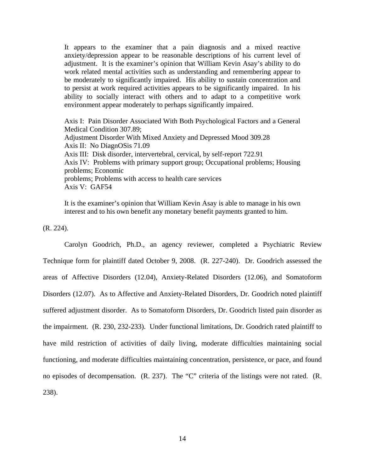It appears to the examiner that a pain diagnosis and a mixed reactive anxiety/depression appear to be reasonable descriptions of his current level of adjustment. It is the examiner's opinion that William Kevin Asay's ability to do work related mental activities such as understanding and remembering appear to be moderately to significantly impaired. His ability to sustain concentration and to persist at work required activities appears to be significantly impaired. In his ability to socially interact with others and to adapt to a competitive work environment appear moderately to perhaps significantly impaired.

Axis I: Pain Disorder Associated With Both Psychological Factors and a General Medical Condition 307.89; Adjustment Disorder With Mixed Anxiety and Depressed Mood 309.28 Axis II: No DiagnOSis 71.09 Axis III: Disk disorder, intervertebral, cervical, by self-report 722.91 Axis IV: Problems with primary support group; Occupational problems; Housing problems; Economic problems; Problems with access to health care services Axis V: GAF54

It is the examiner's opinion that William Kevin Asay is able to manage in his own interest and to his own benefit any monetary benefit payments granted to him.

(R. 224).

Carolyn Goodrich, Ph.D., an agency reviewer, completed a Psychiatric Review Technique form for plaintiff dated October 9, 2008. (R. 227-240). Dr. Goodrich assessed the areas of Affective Disorders (12.04), Anxiety-Related Disorders (12.06), and Somatoform Disorders (12.07). As to Affective and Anxiety-Related Disorders, Dr. Goodrich noted plaintiff suffered adjustment disorder. As to Somatoform Disorders, Dr. Goodrich listed pain disorder as the impairment. (R. 230, 232-233). Under functional limitations, Dr. Goodrich rated plaintiff to have mild restriction of activities of daily living, moderate difficulties maintaining social functioning, and moderate difficulties maintaining concentration, persistence, or pace, and found no episodes of decompensation. (R. 237). The "C" criteria of the listings were not rated. (R. 238).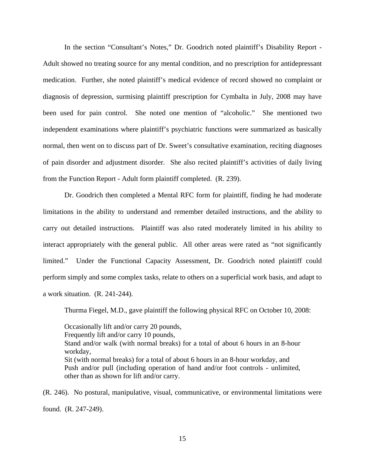In the section "Consultant's Notes," Dr. Goodrich noted plaintiff's Disability Report - Adult showed no treating source for any mental condition, and no prescription for antidepressant medication. Further, she noted plaintiff's medical evidence of record showed no complaint or diagnosis of depression, surmising plaintiff prescription for Cymbalta in July, 2008 may have been used for pain control. She noted one mention of "alcoholic." She mentioned two independent examinations where plaintiff's psychiatric functions were summarized as basically normal, then went on to discuss part of Dr. Sweet's consultative examination, reciting diagnoses of pain disorder and adjustment disorder. She also recited plaintiff's activities of daily living from the Function Report - Adult form plaintiff completed. (R. 239).

 Dr. Goodrich then completed a Mental RFC form for plaintiff, finding he had moderate limitations in the ability to understand and remember detailed instructions, and the ability to carry out detailed instructions. Plaintiff was also rated moderately limited in his ability to interact appropriately with the general public. All other areas were rated as "not significantly limited." Under the Functional Capacity Assessment, Dr. Goodrich noted plaintiff could perform simply and some complex tasks, relate to others on a superficial work basis, and adapt to a work situation. (R. 241-244).

Thurma Fiegel, M.D., gave plaintiff the following physical RFC on October 10, 2008:

Occasionally lift and/or carry 20 pounds, Frequently lift and/or carry 10 pounds, Stand and/or walk (with normal breaks) for a total of about 6 hours in an 8-hour workday, Sit (with normal breaks) for a total of about 6 hours in an 8-hour workday, and Push and/or pull (including operation of hand and/or foot controls - unlimited, other than as shown for lift and/or carry.

(R. 246). No postural, manipulative, visual, communicative, or environmental limitations were found. (R. 247-249).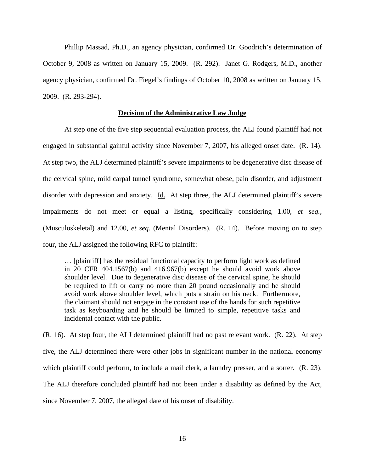Phillip Massad, Ph.D., an agency physician, confirmed Dr. Goodrich's determination of October 9, 2008 as written on January 15, 2009. (R. 292). Janet G. Rodgers, M.D., another agency physician, confirmed Dr. Fiegel's findings of October 10, 2008 as written on January 15, 2009. (R. 293-294).

# **Decision of the Administrative Law Judge**

 At step one of the five step sequential evaluation process, the ALJ found plaintiff had not engaged in substantial gainful activity since November 7, 2007, his alleged onset date. (R. 14). At step two, the ALJ determined plaintiff's severe impairments to be degenerative disc disease of the cervical spine, mild carpal tunnel syndrome, somewhat obese, pain disorder, and adjustment disorder with depression and anxiety. Id. At step three, the ALJ determined plaintiff's severe impairments do not meet or equal a listing, specifically considering 1.00, *et seq.,* (Musculoskeletal) and 12.00, *et seq.* (Mental Disorders). (R. 14). Before moving on to step four, the ALJ assigned the following RFC to plaintiff:

… [plaintiff] has the residual functional capacity to perform light work as defined in 20 CFR 404.1567(b) and 416.967(b) except he should avoid work above shoulder level. Due to degenerative disc disease of the cervical spine, he should be required to lift or carry no more than 20 pound occasionally and he should avoid work above shoulder level, which puts a strain on his neck. Furthermore, the claimant should not engage in the constant use of the hands for such repetitive task as keyboarding and he should be limited to simple, repetitive tasks and incidental contact with the public.

(R. 16). At step four, the ALJ determined plaintiff had no past relevant work. (R. 22). At step five, the ALJ determined there were other jobs in significant number in the national economy which plaintiff could perform, to include a mail clerk, a laundry presser, and a sorter. (R. 23). The ALJ therefore concluded plaintiff had not been under a disability as defined by the Act, since November 7, 2007, the alleged date of his onset of disability.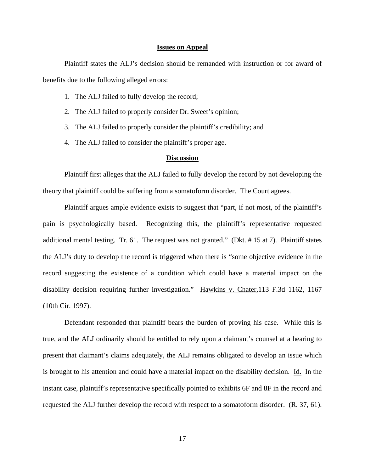#### **Issues on Appeal**

 Plaintiff states the ALJ's decision should be remanded with instruction or for award of benefits due to the following alleged errors:

- 1. The ALJ failed to fully develop the record;
- 2. The ALJ failed to properly consider Dr. Sweet's opinion;
- 3. The ALJ failed to properly consider the plaintiff's credibility; and
- 4. The ALJ failed to consider the plaintiff's proper age.

## **Discussion**

 Plaintiff first alleges that the ALJ failed to fully develop the record by not developing the theory that plaintiff could be suffering from a somatoform disorder. The Court agrees.

 Plaintiff argues ample evidence exists to suggest that "part, if not most, of the plaintiff's pain is psychologically based. Recognizing this, the plaintiff's representative requested additional mental testing. Tr. 61. The request was not granted." (Dkt. # 15 at 7). Plaintiff states the ALJ's duty to develop the record is triggered when there is "some objective evidence in the record suggesting the existence of a condition which could have a material impact on the disability decision requiring further investigation." Hawkins v. Chater,113 F.3d 1162, 1167 (10th Cir. 1997).

 Defendant responded that plaintiff bears the burden of proving his case. While this is true, and the ALJ ordinarily should be entitled to rely upon a claimant's counsel at a hearing to present that claimant's claims adequately, the ALJ remains obligated to develop an issue which is brought to his attention and could have a material impact on the disability decision. Id. In the instant case, plaintiff's representative specifically pointed to exhibits 6F and 8F in the record and requested the ALJ further develop the record with respect to a somatoform disorder. (R. 37, 61).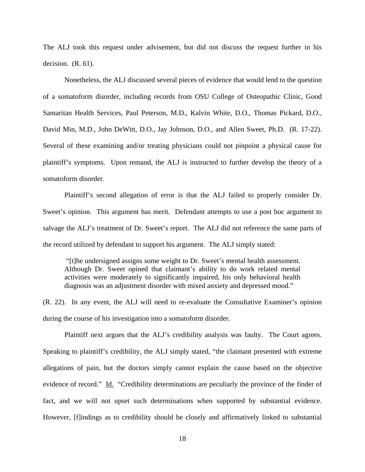The ALJ took this request under advisement, but did not discuss the request further in his decision. (R. 61).

 Nonetheless, the ALJ discussed several pieces of evidence that would lend to the question of a somatoform disorder, including records from OSU College of Osteopathic Clinic, Good Samaritan Health Services, Paul Peterson, M.D., Kalvin White, D.O., Thomas Pickard, D.O., David Min, M.D., John DeWitt, D.O., Jay Johnson, D.O., and Allen Sweet, Ph.D. (R. 17-22). Several of these examining and/or treating physicians could not pinpoint a physical cause for plaintiff's symptoms. Upon remand, the ALJ is instructed to further develop the theory of a somatoform disorder.

 Plaintiff's second allegation of error is that the ALJ failed to properly consider Dr. Sweet's opinion. This argument has merit. Defendant attempts to use a post hoc argument to salvage the ALJ's treatment of Dr. Sweet's report. The ALJ did not reference the same parts of the record utilized by defendant to support his argument. The ALJ simply stated:

 "[t]he undersigned assigns some weight to Dr. Sweet's mental health assessment. Although Dr. Sweet opined that claimant's ability to do work related mental activities were moderately to significantly impaired, his only behavioral health diagnosis was an adjustment disorder with mixed anxiety and depressed mood."

(R. 22). In any event, the ALJ will need to re-evaluate the Consultative Examiner's opinion during the course of his investigation into a somatoform disorder.

 Plaintiff next argues that the ALJ's credibility analysis was faulty. The Court agrees. Speaking to plaintiff's credibility, the ALJ simply stated, "the claimant presented with extreme allegations of pain, but the doctors simply cannot explain the cause based on the objective evidence of record." Id. "Credibility determinations are peculiarly the province of the finder of fact, and we will not upset such determinations when supported by substantial evidence. However, [f]indings as to credibility should be closely and affirmatively linked to substantial